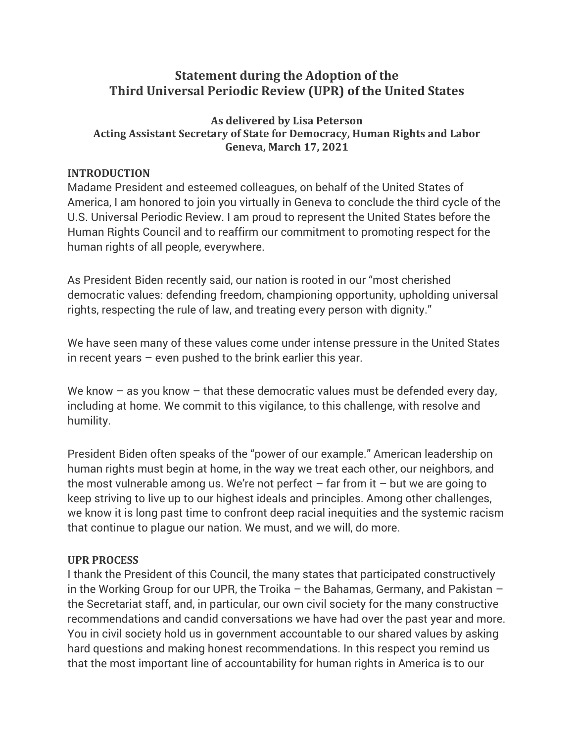# **Statement during the Adoption of the Third Universal Periodic Review (UPR) of the United States**

### **As delivered by Lisa Peterson Acting Assistant Secretary of State for Democracy, Human Rights and Labor Geneva, March 17, 2021**

#### **INTRODUCTION**

Madame President and esteemed colleagues, on behalf of the United States of America, I am honored to join you virtually in Geneva to conclude the third cycle of the U.S. Universal Periodic Review. I am proud to represent the United States before the Human Rights Council and to reaffirm our commitment to promoting respect for the human rights of all people, everywhere.

As President Biden recently said, our nation is rooted in our "most cherished democratic values: defending freedom, championing opportunity, upholding universal rights, respecting the rule of law, and treating every person with dignity."

We have seen many of these values come under intense pressure in the United States in recent years – even pushed to the brink earlier this year.

We know  $-$  as you know  $-$  that these democratic values must be defended every day, including at home. We commit to this vigilance, to this challenge, with resolve and humility.

President Biden often speaks of the "power of our example." American leadership on human rights must begin at home, in the way we treat each other, our neighbors, and the most vulnerable among us. We're not perfect  $-$  far from it  $-$  but we are going to keep striving to live up to our highest ideals and principles. Among other challenges, we know it is long past time to confront deep racial inequities and the systemic racism that continue to plague our nation. We must, and we will, do more.

#### **UPR PROCESS**

I thank the President of this Council, the many states that participated constructively in the Working Group for our UPR, the Troika – the Bahamas, Germany, and Pakistan – the Secretariat staff, and, in particular, our own civil society for the many constructive recommendations and candid conversations we have had over the past year and more. You in civil society hold us in government accountable to our shared values by asking hard questions and making honest recommendations. In this respect you remind us that the most important line of accountability for human rights in America is to our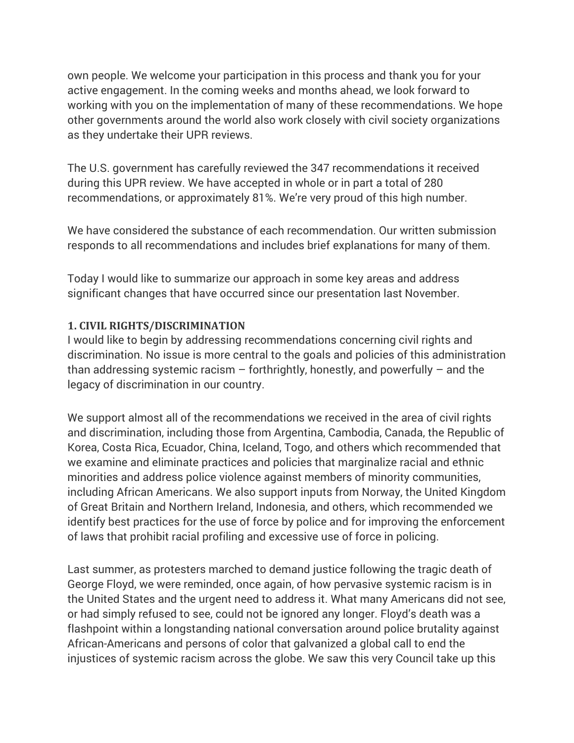own people. We welcome your participation in this process and thank you for your active engagement. In the coming weeks and months ahead, we look forward to working with you on the implementation of many of these recommendations. We hope other governments around the world also work closely with civil society organizations as they undertake their UPR reviews.

The U.S. government has carefully reviewed the 347 recommendations it received during this UPR review. We have accepted in whole or in part a total of 280 recommendations, or approximately 81%. We're very proud of this high number.

We have considered the substance of each recommendation. Our written submission responds to all recommendations and includes brief explanations for many of them.

Today I would like to summarize our approach in some key areas and address significant changes that have occurred since our presentation last November.

## **1. CIVIL RIGHTS/DISCRIMINATION**

I would like to begin by addressing recommendations concerning civil rights and discrimination. No issue is more central to the goals and policies of this administration than addressing systemic racism  $-$  forthrightly, honestly, and powerfully  $-$  and the legacy of discrimination in our country.

We support almost all of the recommendations we received in the area of civil rights and discrimination, including those from Argentina, Cambodia, Canada, the Republic of Korea, Costa Rica, Ecuador, China, Iceland, Togo, and others which recommended that we examine and eliminate practices and policies that marginalize racial and ethnic minorities and address police violence against members of minority communities, including African Americans. We also support inputs from Norway, the United Kingdom of Great Britain and Northern Ireland, Indonesia, and others, which recommended we identify best practices for the use of force by police and for improving the enforcement of laws that prohibit racial profiling and excessive use of force in policing.

Last summer, as protesters marched to demand justice following the tragic death of George Floyd, we were reminded, once again, of how pervasive systemic racism is in the United States and the urgent need to address it. What many Americans did not see, or had simply refused to see, could not be ignored any longer. Floyd's death was a flashpoint within a longstanding national conversation around police brutality against African-Americans and persons of color that galvanized a global call to end the injustices of systemic racism across the globe. We saw this very Council take up this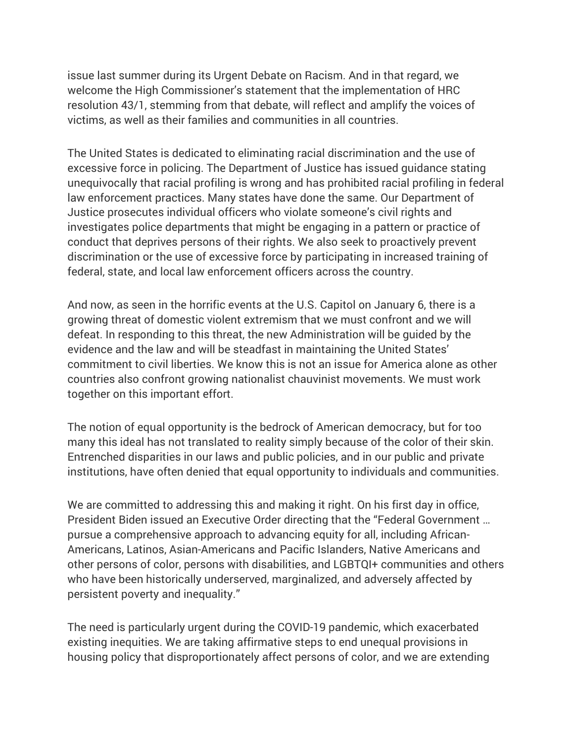issue last summer during its Urgent Debate on Racism. And in that regard, we welcome the High Commissioner's statement that the implementation of HRC resolution 43/1, stemming from that debate, will reflect and amplify the voices of victims, as well as their families and communities in all countries.

The United States is dedicated to eliminating racial discrimination and the use of excessive force in policing. The Department of Justice has issued guidance stating unequivocally that racial profiling is wrong and has prohibited racial profiling in federal law enforcement practices. Many states have done the same. Our Department of Justice prosecutes individual officers who violate someone's civil rights and investigates police departments that might be engaging in a pattern or practice of conduct that deprives persons of their rights. We also seek to proactively prevent discrimination or the use of excessive force by participating in increased training of federal, state, and local law enforcement officers across the country.

And now, as seen in the horrific events at the U.S. Capitol on January 6, there is a growing threat of domestic violent extremism that we must confront and we will defeat. In responding to this threat, the new Administration will be guided by the evidence and the law and will be steadfast in maintaining the United States' commitment to civil liberties. We know this is not an issue for America alone as other countries also confront growing nationalist chauvinist movements. We must work together on this important effort.

The notion of equal opportunity is the bedrock of American democracy, but for too many this ideal has not translated to reality simply because of the color of their skin. Entrenched disparities in our laws and public policies, and in our public and private institutions, have often denied that equal opportunity to individuals and communities.

We are committed to addressing this and making it right. On his first day in office, President Biden issued an Executive Order directing that the "Federal Government … pursue a comprehensive approach to advancing equity for all, including African-Americans, Latinos, Asian-Americans and Pacific Islanders, Native Americans and other persons of color, persons with disabilities, and LGBTQI+ communities and others who have been historically underserved, marginalized, and adversely affected by persistent poverty and inequality."

The need is particularly urgent during the COVID-19 pandemic, which exacerbated existing inequities. We are taking affirmative steps to end unequal provisions in housing policy that disproportionately affect persons of color, and we are extending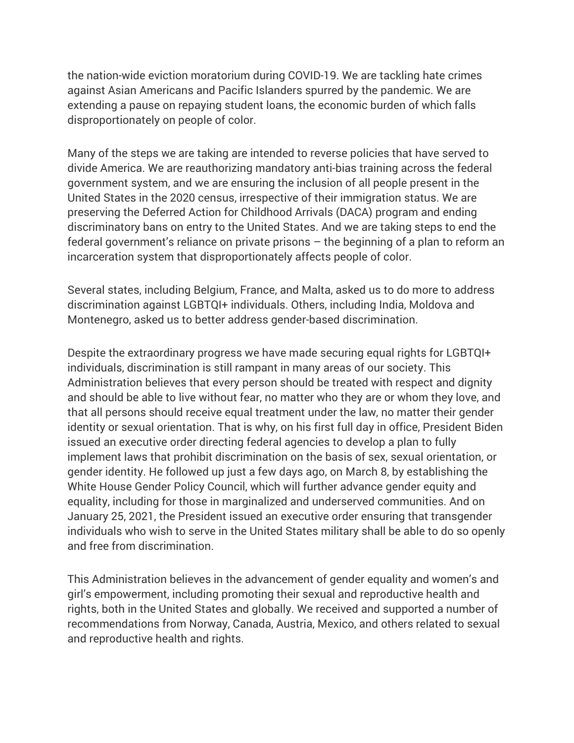the nation-wide eviction moratorium during COVID-19. We are tackling hate crimes against Asian Americans and Pacific Islanders spurred by the pandemic. We are extending a pause on repaying student loans, the economic burden of which falls disproportionately on people of color.

Many of the steps we are taking are intended to reverse policies that have served to divide America. We are reauthorizing mandatory anti-bias training across the federal government system, and we are ensuring the inclusion of all people present in the United States in the 2020 census, irrespective of their immigration status. We are preserving the Deferred Action for Childhood Arrivals (DACA) program and ending discriminatory bans on entry to the United States. And we are taking steps to end the federal government's reliance on private prisons – the beginning of a plan to reform an incarceration system that disproportionately affects people of color.

Several states, including Belgium, France, and Malta, asked us to do more to address discrimination against LGBTQI+ individuals. Others, including India, Moldova and Montenegro, asked us to better address gender-based discrimination.

Despite the extraordinary progress we have made securing equal rights for LGBTQI+ individuals, discrimination is still rampant in many areas of our society. This Administration believes that every person should be treated with respect and dignity and should be able to live without fear, no matter who they are or whom they love, and that all persons should receive equal treatment under the law, no matter their gender identity or sexual orientation. That is why, on his first full day in office, President Biden issued an executive order directing federal agencies to develop a plan to fully implement laws that prohibit discrimination on the basis of sex, sexual orientation, or gender identity. He followed up just a few days ago, on March 8, by establishing the White House Gender Policy Council, which will further advance gender equity and equality, including for those in marginalized and underserved communities. And on January 25, 2021, the President issued an executive order ensuring that transgender individuals who wish to serve in the United States military shall be able to do so openly and free from discrimination.

This Administration believes in the advancement of gender equality and women's and girl's empowerment, including promoting their sexual and reproductive health and rights, both in the United States and globally. We received and supported a number of recommendations from Norway, Canada, Austria, Mexico, and others related to sexual and reproductive health and rights.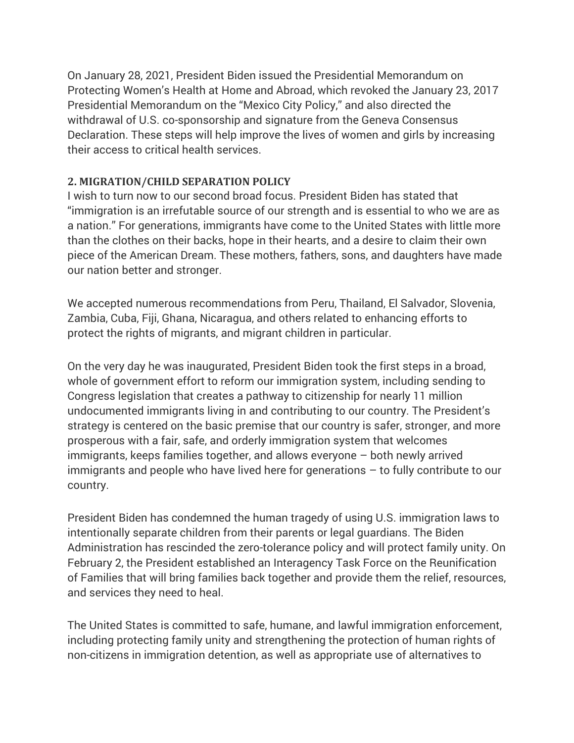On January 28, 2021, President Biden issued the Presidential Memorandum on Protecting Women's Health at Home and Abroad, which revoked the January 23, 2017 Presidential Memorandum on the "Mexico City Policy," and also directed the withdrawal of U.S. co-sponsorship and signature from the Geneva Consensus Declaration. These steps will help improve the lives of women and girls by increasing their access to critical health services.

## **2. MIGRATION/CHILD SEPARATION POLICY**

I wish to turn now to our second broad focus. President Biden has stated that "immigration is an irrefutable source of our strength and is essential to who we are as a nation." For generations, immigrants have come to the United States with little more than the clothes on their backs, hope in their hearts, and a desire to claim their own piece of the American Dream. These mothers, fathers, sons, and daughters have made our nation better and stronger.

We accepted numerous recommendations from Peru, Thailand, El Salvador, Slovenia, Zambia, Cuba, Fiji, Ghana, Nicaragua, and others related to enhancing efforts to protect the rights of migrants, and migrant children in particular.

On the very day he was inaugurated, President Biden took the first steps in a broad, whole of government effort to reform our immigration system, including sending to Congress legislation that creates a pathway to citizenship for nearly 11 million undocumented immigrants living in and contributing to our country. The President's strategy is centered on the basic premise that our country is safer, stronger, and more prosperous with a fair, safe, and orderly immigration system that welcomes immigrants, keeps families together, and allows everyone – both newly arrived immigrants and people who have lived here for generations – to fully contribute to our country.

President Biden has condemned the human tragedy of using U.S. immigration laws to intentionally separate children from their parents or legal guardians. The Biden Administration has rescinded the zero-tolerance policy and will protect family unity. On February 2, the President established an Interagency Task Force on the Reunification of Families that will bring families back together and provide them the relief, resources, and services they need to heal.

The United States is committed to safe, humane, and lawful immigration enforcement, including protecting family unity and strengthening the protection of human rights of non-citizens in immigration detention, as well as appropriate use of alternatives to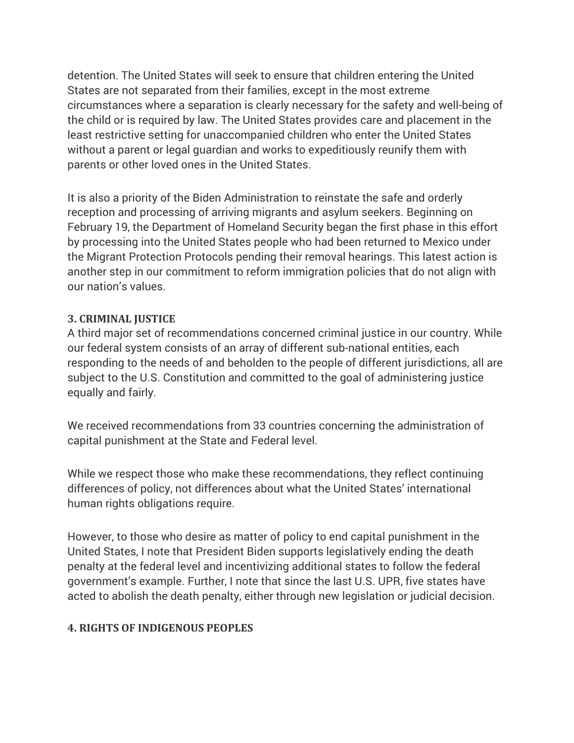detention. The United States will seek to ensure that children entering the United States are not separated from their families, except in the most extreme circumstances where a separation is clearly necessary for the safety and well-being of the child or is required by law. The United States provides care and placement in the least restrictive setting for unaccompanied children who enter the United States without a parent or legal guardian and works to expeditiously reunify them with parents or other loved ones in the United States.

It is also a priority of the Biden Administration to reinstate the safe and orderly reception and processing of arriving migrants and asylum seekers. Beginning on February 19, the Department of Homeland Security began the first phase in this effort by processing into the United States people who had been returned to Mexico under the Migrant Protection Protocols pending their removal hearings. This latest action is another step in our commitment to reform immigration policies that do not align with our nation's values.

### **3. CRIMINAL JUSTICE**

A third major set of recommendations concerned criminal justice in our country. While our federal system consists of an array of different sub-national entities, each responding to the needs of and beholden to the people of different jurisdictions, all are subject to the U.S. Constitution and committed to the goal of administering justice equally and fairly.

We received recommendations from 33 countries concerning the administration of capital punishment at the State and Federal level.

While we respect those who make these recommendations, they reflect continuing differences of policy, not differences about what the United States' international human rights obligations require.

However, to those who desire as matter of policy to end capital punishment in the United States, I note that President Biden supports legislatively ending the death penalty at the federal level and incentivizing additional states to follow the federal government's example. Further, I note that since the last U.S. UPR, five states have acted to abolish the death penalty, either through new legislation or judicial decision.

## **4. RIGHTS OF INDIGENOUS PEOPLES**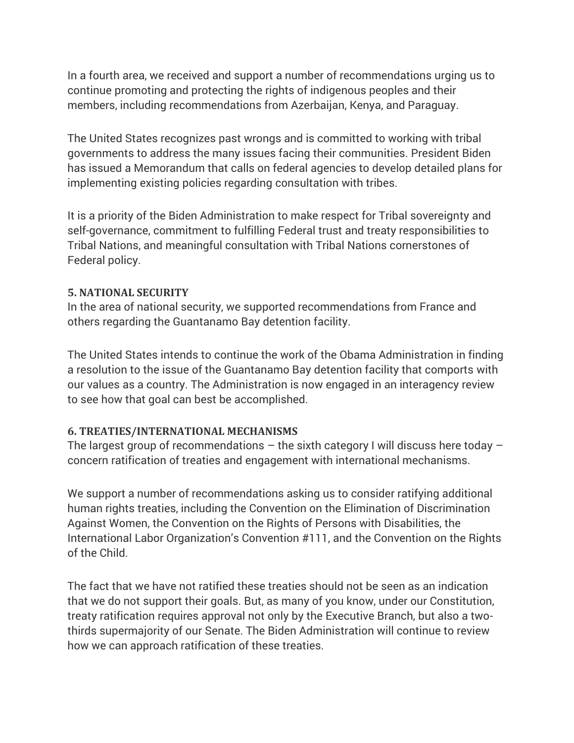In a fourth area, we received and support a number of recommendations urging us to continue promoting and protecting the rights of indigenous peoples and their members, including recommendations from Azerbaijan, Kenya, and Paraguay.

The United States recognizes past wrongs and is committed to working with tribal governments to address the many issues facing their communities. President Biden has issued a Memorandum that calls on federal agencies to develop detailed plans for implementing existing policies regarding consultation with tribes.

It is a priority of the Biden Administration to make respect for Tribal sovereignty and self-governance, commitment to fulfilling Federal trust and treaty responsibilities to Tribal Nations, and meaningful consultation with Tribal Nations cornerstones of Federal policy.

## **5. NATIONAL SECURITY**

In the area of national security, we supported recommendations from France and others regarding the Guantanamo Bay detention facility.

The United States intends to continue the work of the Obama Administration in finding a resolution to the issue of the Guantanamo Bay detention facility that comports with our values as a country. The Administration is now engaged in an interagency review to see how that goal can best be accomplished.

## **6. TREATIES/INTERNATIONAL MECHANISMS**

The largest group of recommendations  $-$  the sixth category I will discuss here today  $$ concern ratification of treaties and engagement with international mechanisms.

We support a number of recommendations asking us to consider ratifying additional human rights treaties, including the Convention on the Elimination of Discrimination Against Women, the Convention on the Rights of Persons with Disabilities, the International Labor Organization's Convention #111, and the Convention on the Rights of the Child.

The fact that we have not ratified these treaties should not be seen as an indication that we do not support their goals. But, as many of you know, under our Constitution, treaty ratification requires approval not only by the Executive Branch, but also a twothirds supermajority of our Senate. The Biden Administration will continue to review how we can approach ratification of these treaties.